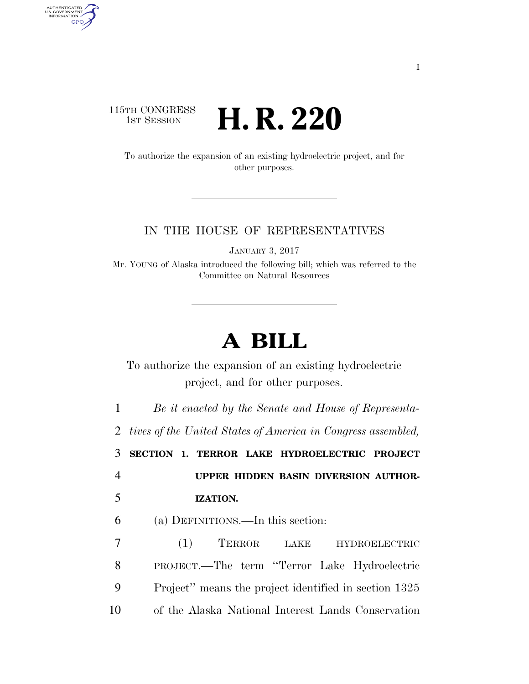## 115TH CONGRESS<br>1st Session **H. R. 220**

AUTHENTICATED<br>U.S. GOVERNMENT<br>INFORMATION GPO

> To authorize the expansion of an existing hydroelectric project, and for other purposes.

## IN THE HOUSE OF REPRESENTATIVES

JANUARY 3, 2017

Mr. YOUNG of Alaska introduced the following bill; which was referred to the Committee on Natural Resources

## **A BILL**

To authorize the expansion of an existing hydroelectric project, and for other purposes.

1 *Be it enacted by the Senate and House of Representa-*

2 *tives of the United States of America in Congress assembled,* 

3 **SECTION 1. TERROR LAKE HYDROELECTRIC PROJECT** 

4 **UPPER HIDDEN BASIN DIVERSION AUTHOR-**

6 (a) DEFINITIONS.—In this section:

5 **IZATION.** 

 (1) TERROR LAKE HYDROELECTRIC PROJECT.—The term ''Terror Lake Hydroelectric Project'' means the project identified in section 1325 of the Alaska National Interest Lands Conservation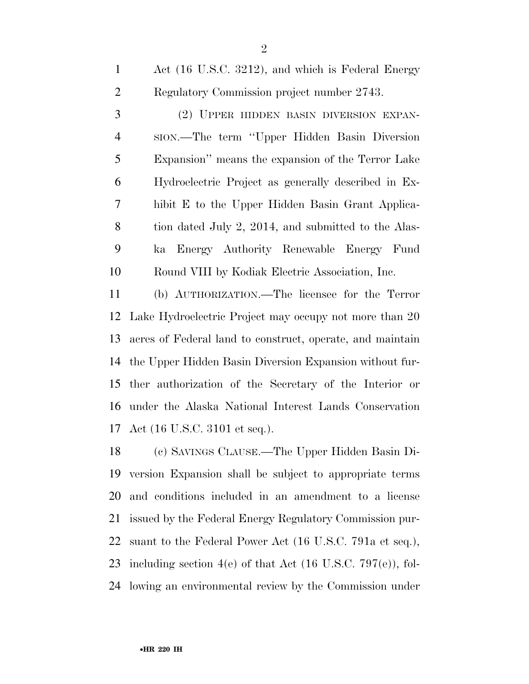Act (16 U.S.C. 3212), and which is Federal Energy Regulatory Commission project number 2743.

 (2) UPPER HIDDEN BASIN DIVERSION EXPAN- SION.—The term ''Upper Hidden Basin Diversion Expansion'' means the expansion of the Terror Lake Hydroelectric Project as generally described in Ex- hibit E to the Upper Hidden Basin Grant Applica- tion dated July 2, 2014, and submitted to the Alas- ka Energy Authority Renewable Energy Fund Round VIII by Kodiak Electric Association, Inc.

 (b) AUTHORIZATION.—The licensee for the Terror Lake Hydroelectric Project may occupy not more than 20 acres of Federal land to construct, operate, and maintain the Upper Hidden Basin Diversion Expansion without fur- ther authorization of the Secretary of the Interior or under the Alaska National Interest Lands Conservation Act (16 U.S.C. 3101 et seq.).

 (c) SAVINGS CLAUSE.—The Upper Hidden Basin Di- version Expansion shall be subject to appropriate terms and conditions included in an amendment to a license issued by the Federal Energy Regulatory Commission pur- suant to the Federal Power Act (16 U.S.C. 791a et seq.), 23 including section  $4(e)$  of that Act  $(16 \text{ U.S.C. } 797(e))$ , fol-lowing an environmental review by the Commission under